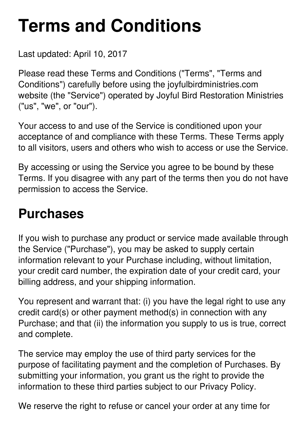# **Terms and Conditions**

Last updated: April 10, 2017

Please read these Terms and Conditions ("Terms", "Terms and Conditions") carefully before using the joyfulbirdministries.com website (the "Service") operated by Joyful Bird Restoration Ministries ("us", "we", or "our").

Your access to and use of the Service is conditioned upon your acceptance of and compliance with these Terms. These Terms apply to all visitors, users and others who wish to access or use the Service.

By accessing or using the Service you agree to be bound by these Terms. If you disagree with any part of the terms then you do not have permission to access the Service.

#### **Purchases**

If you wish to purchase any product or service made available through the Service ("Purchase"), you may be asked to supply certain information relevant to your Purchase including, without limitation, your credit card number, the expiration date of your credit card, your billing address, and your shipping information.

You represent and warrant that: (i) you have the legal right to use any credit card(s) or other payment method(s) in connection with any Purchase; and that (ii) the information you supply to us is true, correct and complete.

The service may employ the use of third party services for the purpose of facilitating payment and the completion of Purchases. By submitting your information, you grant us the right to provide the information to these third parties subject to our Privacy Policy.

We reserve the right to refuse or cancel your order at any time for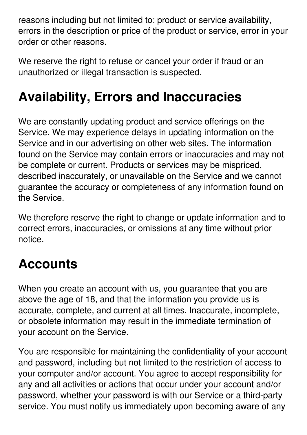reasons including but not limited to: product or service availability, errors in the description or price of the product or service, error in your order or other reasons.

We reserve the right to refuse or cancel your order if fraud or an unauthorized or illegal transaction is suspected.

### **Availability, Errors and Inaccuracies**

We are constantly updating product and service offerings on the Service. We may experience delays in updating information on the Service and in our advertising on other web sites. The information found on the Service may contain errors or inaccuracies and may not be complete or current. Products or services may be mispriced, described inaccurately, or unavailable on the Service and we cannot guarantee the accuracy or completeness of any information found on the Service.

We therefore reserve the right to change or update information and to correct errors, inaccuracies, or omissions at any time without prior notice.

#### **Accounts**

When you create an account with us, you guarantee that you are above the age of 18, and that the information you provide us is accurate, complete, and current at all times. Inaccurate, incomplete, or obsolete information may result in the immediate termination of your account on the Service.

You are responsible for maintaining the confidentiality of your account and password, including but not limited to the restriction of access to your computer and/or account. You agree to accept responsibility for any and all activities or actions that occur under your account and/or password, whether your password is with our Service or a third-party service. You must notify us immediately upon becoming aware of any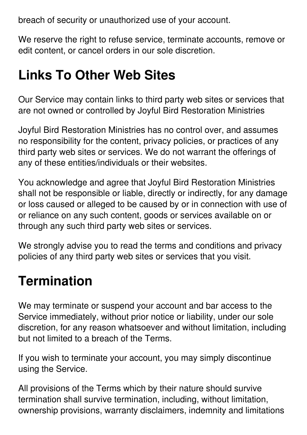breach of security or unauthorized use of your account.

We reserve the right to refuse service, terminate accounts, remove or edit content, or cancel orders in our sole discretion.

### **Links To Other Web Sites**

Our Service may contain links to third party web sites or services that are not owned or controlled by Joyful Bird Restoration Ministries

Joyful Bird Restoration Ministries has no control over, and assumes no responsibility for the content, privacy policies, or practices of any third party web sites or services. We do not warrant the offerings of any of these entities/individuals or their websites.

You acknowledge and agree that Joyful Bird Restoration Ministries shall not be responsible or liable, directly or indirectly, for any damage or loss caused or alleged to be caused by or in connection with use of or reliance on any such content, goods or services available on or through any such third party web sites or services.

We strongly advise you to read the terms and conditions and privacy policies of any third party web sites or services that you visit.

### **Termination**

We may terminate or suspend your account and bar access to the Service immediately, without prior notice or liability, under our sole discretion, for any reason whatsoever and without limitation, including but not limited to a breach of the Terms.

If you wish to terminate your account, you may simply discontinue using the Service.

All provisions of the Terms which by their nature should survive termination shall survive termination, including, without limitation, ownership provisions, warranty disclaimers, indemnity and limitations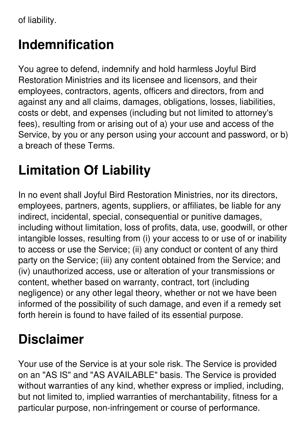of liability.

### **Indemnification**

You agree to defend, indemnify and hold harmless Joyful Bird Restoration Ministries and its licensee and licensors, and their employees, contractors, agents, officers and directors, from and against any and all claims, damages, obligations, losses, liabilities, costs or debt, and expenses (including but not limited to attorney's fees), resulting from or arising out of a) your use and access of the Service, by you or any person using your account and password, or b) a breach of these Terms.

# **Limitation Of Liability**

In no event shall Joyful Bird Restoration Ministries, nor its directors, employees, partners, agents, suppliers, or affiliates, be liable for any indirect, incidental, special, consequential or punitive damages, including without limitation, loss of profits, data, use, goodwill, or other intangible losses, resulting from (i) your access to or use of or inability to access or use the Service; (ii) any conduct or content of any third party on the Service; (iii) any content obtained from the Service; and (iv) unauthorized access, use or alteration of your transmissions or content, whether based on warranty, contract, tort (including negligence) or any other legal theory, whether or not we have been informed of the possibility of such damage, and even if a remedy set forth herein is found to have failed of its essential purpose.

### **Disclaimer**

Your use of the Service is at your sole risk. The Service is provided on an "AS IS" and "AS AVAILABLE" basis. The Service is provided without warranties of any kind, whether express or implied, including, but not limited to, implied warranties of merchantability, fitness for a particular purpose, non-infringement or course of performance.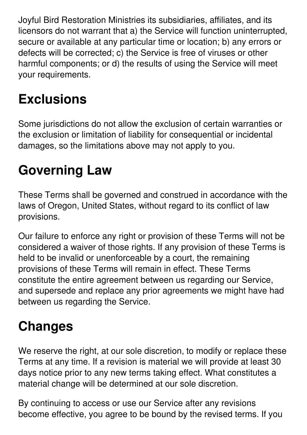Joyful Bird Restoration Ministries its subsidiaries, affiliates, and its licensors do not warrant that a) the Service will function uninterrupted, secure or available at any particular time or location; b) any errors or defects will be corrected; c) the Service is free of viruses or other harmful components; or d) the results of using the Service will meet your requirements.

# **Exclusions**

Some jurisdictions do not allow the exclusion of certain warranties or the exclusion or limitation of liability for consequential or incidental damages, so the limitations above may not apply to you.

# **Governing Law**

These Terms shall be governed and construed in accordance with the laws of Oregon, United States, without regard to its conflict of law provisions.

Our failure to enforce any right or provision of these Terms will not be considered a waiver of those rights. If any provision of these Terms is held to be invalid or unenforceable by a court, the remaining provisions of these Terms will remain in effect. These Terms constitute the entire agreement between us regarding our Service, and supersede and replace any prior agreements we might have had between us regarding the Service.

# **Changes**

We reserve the right, at our sole discretion, to modify or replace these Terms at any time. If a revision is material we will provide at least 30 days notice prior to any new terms taking effect. What constitutes a material change will be determined at our sole discretion.

By continuing to access or use our Service after any revisions become effective, you agree to be bound by the revised terms. If you